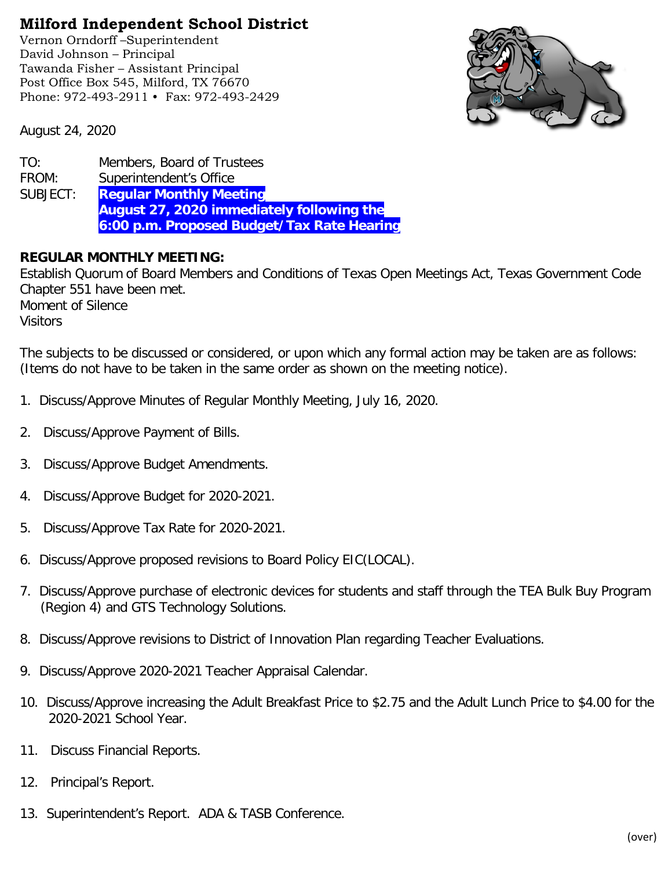## **Milford Independent School District**

Vernon Orndorff –Superintendent David Johnson – Principal Tawanda Fisher – Assistant Principal Post Office Box 545, Milford, TX 76670 Phone: 972-493-2911 • Fax: 972-493-2429



August 24, 2020

| TO:      | Members, Board of Trustees                       |
|----------|--------------------------------------------------|
| FROM:    | Superintendent's Office                          |
| SUBJECT: | <b>Regular Monthly Meeting</b>                   |
|          | <b>August 27, 2020 immediately following the</b> |
|          | 6:00 p.m. Proposed Budget/Tax Rate Hearing       |

## **REGULAR MONTHLY MEETING:**

Establish Quorum of Board Members and Conditions of Texas Open Meetings Act, Texas Government Code Chapter 551 have been met. Moment of Silence **Visitors** 

The subjects to be discussed or considered, or upon which any formal action may be taken are as follows: (Items do not have to be taken in the same order as shown on the meeting notice).

- 1. Discuss/Approve Minutes of Regular Monthly Meeting, July 16, 2020.
- 2. Discuss/Approve Payment of Bills.
- 3. Discuss/Approve Budget Amendments.
- 4. Discuss/Approve Budget for 2020-2021.
- 5. Discuss/Approve Tax Rate for 2020-2021.
- 6. Discuss/Approve proposed revisions to Board Policy EIC(LOCAL).
- 7. Discuss/Approve purchase of electronic devices for students and staff through the TEA Bulk Buy Program (Region 4) and GTS Technology Solutions.
- 8. Discuss/Approve revisions to District of Innovation Plan regarding Teacher Evaluations.
- 9. Discuss/Approve 2020-2021 Teacher Appraisal Calendar.
- 10. Discuss/Approve increasing the Adult Breakfast Price to \$2.75 and the Adult Lunch Price to \$4.00 for the 2020-2021 School Year.
- 11. Discuss Financial Reports.
- 12. Principal's Report.
- 13. Superintendent's Report. ADA & TASB Conference.